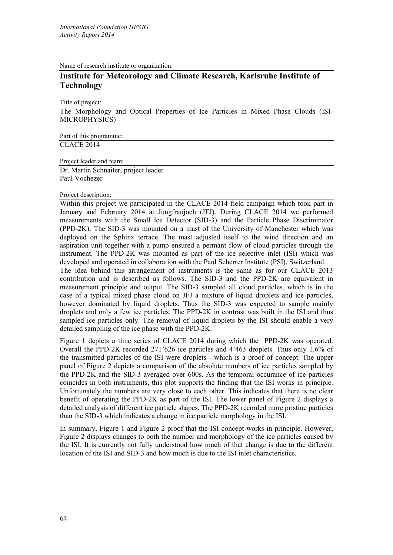Name of research institute or organization:

# **Institute for Meteorology and Climate Research, Karlsruhe Institute of Technology**

Title of project:

The Morphology and Optical Properties of Ice Particles in Mixed Phase Clouds (ISI-MICROPHYSICS)

Part of this programme:

CLACE 2014

Project leader and team:

Dr. Martin Schnaiter, project leader Paul Vochezer

#### Project description:

Within this project we participated in the CLACE 2014 field campaign which took part in January and February 2014 at Jungfraujoch (JFJ). During CLACE 2014 we performed measurements with the Small Ice Detector (SID-3) and the Particle Phase Discriminator (PPD-2K). The SID-3 was mounted on a mast of the University of Manchester which was deployed on the Sphinx terrace. The mast adjusted itself to the wind direction and an aspiration unit together with a pump ensured a permant flow of cloud particles through the instrument. The PPD-2K was mounted as part of the ice selective inlet (ISI) which was developed and operated in collaboration with the Paul Scherrer Institute (PSI), Switzerland. The idea behind this arrangement of instruments is the same as for our CLACE 2013 contribution and is described as follows. The SID-3 and the PPD-2K are equivalent in

measurement principle and output. The SID-3 sampled all cloud particles, which is in the case of a typical mixed phase cloud on JFJ a mixture of liquid droplets and ice particles, however dominated by liquid droplets. Thus the SID-3 was expected to sample mainly droplets and only a few ice particles. The PPD-2K in contrast was built in the ISI and thus sampled ice particles only. The removal of liquid droplets by the ISI should enable a very detailed sampling of the ice phase with the PPD-2K.

Figure 1 depicts a time series of CLACE 2014 during which the PPD-2K was operated. Overall the PPD-2K recorded 271'626 ice particles and 4'463 droplets. Thus only 1.6% of the transmitted particles of the ISI were droplets - which is a proof of concept. The upper panel of Figure 2 depicts a comparison of the absolute numbers of ice particles sampled by the PPD-2K and the SID-3 averaged over 600s. As the temporal occurance of ice particles coincides in both instruments, this plot supports the finding that the ISI works in principle. Unfortunately the numbers are very close to each other. This indicates that there is no clear benefit of operating the PPD-2K as part of the ISI. The lower panel of Figure 2 displays a detailed analysis of different ice particle shapes. The PPD-2K recorded more pristine particles than the SID-3 which indicates a change in ice particle morphology in the ISI.

In summary, Figure 1 and Figure 2 proof that the ISI concept works in principle. However, Figure 2 displays changes to both the number and morphology of the ice particles caused by the ISI. It is currently not fully understood how much of that change is due to the different location of the ISI and SID-3 and how much is due to the ISI inlet characteristics.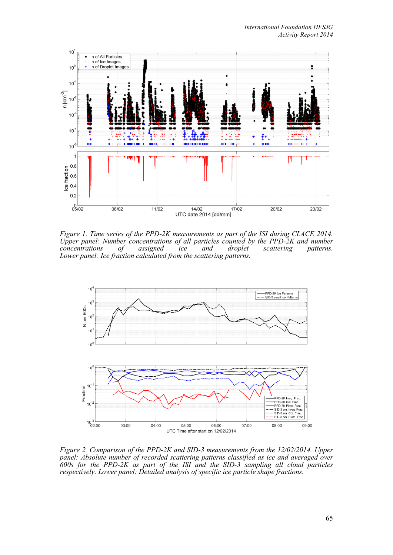

*Figure 1. Time series of the PPD-2K measurements as part of the ISI during CLACE 2014. Upper panel: Number concentrations of all particles counted by the PPD-2K and number concentrations of assigned ice and droplet scattering patterns.*  $c$ *ancentrations Lower panel: Ice fraction calculated from the scattering patterns.*



*Figure 2. Comparison of the PPD-2K and SID-3 measurements from the 12/02/2014. Upper*  panel: Absolute number of recorded scattering patterns classified as ice and averaged over *600s for the PPD-2K as part of the ISI and the SID-3 sampling all cloud particles respectively. Lower panel: Detailed analysis of specific ice particle shape fractions.*